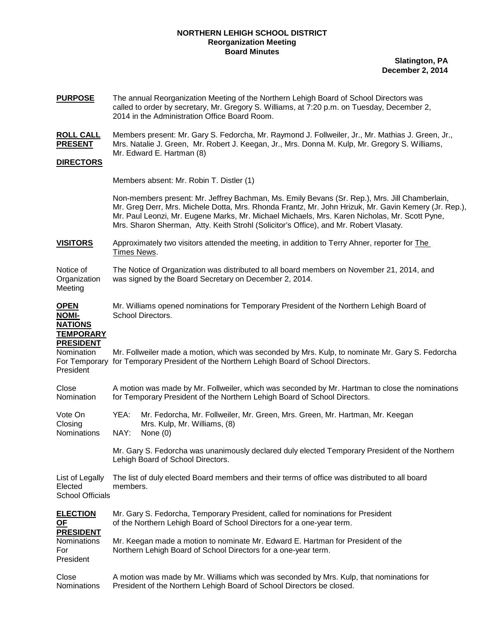## **NORTHERN LEHIGH SCHOOL DISTRICT Reorganization Meeting Board Minutes**

**Slatington, PA December 2, 2014**

**PURPOSE** called to order by secretary, Mr. Gregory S. Williams, at 7:20 p.m. on Tuesday, December 2, The annual Reorganization Meeting of the Northern Lehigh Board of School Directors was 2014 in the Administration Office Board Room.

**ROLL CALL** Members present: Mr. Gary S. Fedorcha, Mr. Raymond J. Follweiler, Jr., Mr. Mathias J. Green, Jr., **PRESENT** Mrs. Natalie J. Green, Mr. Robert J. Keegan, Jr., Mrs. Donna M. Kulp, Mr. Gregory S. Williams, Mr. Edward E. Hartman (8)

## **DIRECTORS**

Members absent: Mr. Robin T. Distler (1)

Non-members present: Mr. Jeffrey Bachman, Ms. Emily Bevans (Sr. Rep.), Mrs. Jill Chamberlain, Mr. Greg Derr, Mrs. Michele Dotta, Mrs. Rhonda Frantz, Mr. John Hrizuk, Mr. Gavin Kemery (Jr. Rep.), Mr. Paul Leonzi, Mr. Eugene Marks, Mr. Michael Michaels, Mrs. Karen Nicholas, Mr. Scott Pyne, Mrs. Sharon Sherman, Atty. Keith Strohl (Solicitor's Office), and Mr. Robert Vlasaty.

**VISITORS** Approximately two visitors attended the meeting, in addition to Terry Ahner, reporter for The Times News.

Notice of The Notice of Organization was distributed to all board members on November 21, 2014, and Organization was signed by the Board Secretary on December 2, 2014. Meeting

| OPEN             | Mr. Williams opened nominations for Temporary President of the Northern Lehigh Board of |
|------------------|-----------------------------------------------------------------------------------------|
| NOMI-            | School Directors.                                                                       |
| NATIONS          |                                                                                         |
| TEMPORARY        |                                                                                         |
| <b>PRESIDENT</b> |                                                                                         |

Nomination Mr. Follweiler made a motion, which was seconded by Mrs. Kulp, to nominate Mr. Gary S. Fedorcha For Temporary for Temporary President of the Northern Lehigh Board of School Directors. President

Close A motion was made by Mr. Follweiler, which was seconded by Mr. Hartman to close the nominations Nomination for Temporary President of the Northern Lehigh Board of School Directors.

| Vote On            | YEA: | Mr. Fedorcha, Mr. Follweiler, Mr. Green, Mrs. Green, Mr. Hartman, Mr. Keegan |
|--------------------|------|------------------------------------------------------------------------------|
| Closing            |      | Mrs. Kulp, Mr. Williams, (8)                                                 |
| <b>Nominations</b> |      | NAY: None (0)                                                                |

Mr. Gary S. Fedorcha was unanimously declared duly elected Temporary President of the Northern Lehigh Board of School Directors.

List of Legally The list of duly elected Board members and their terms of office was distributed to all board Elected members. School Officials

| <b>ELECTION</b><br><u>OF</u><br><b>PRESIDENT</b> | Mr. Gary S. Fedorcha, Temporary President, called for nominations for President<br>of the Northern Lehigh Board of School Directors for a one-year term. |
|--------------------------------------------------|----------------------------------------------------------------------------------------------------------------------------------------------------------|
| <b>Nominations</b><br>For<br>President           | Mr. Keegan made a motion to nominate Mr. Edward E. Hartman for President of the<br>Northern Lehigh Board of School Directors for a one-year term.        |

Close **A motion was made by Mr. Williams which was seconded by Mrs. Kulp, that nominations for**<br>Nominations President of the Northern Lehigh Board of School Directors be closed. President of the Northern Lehigh Board of School Directors be closed.